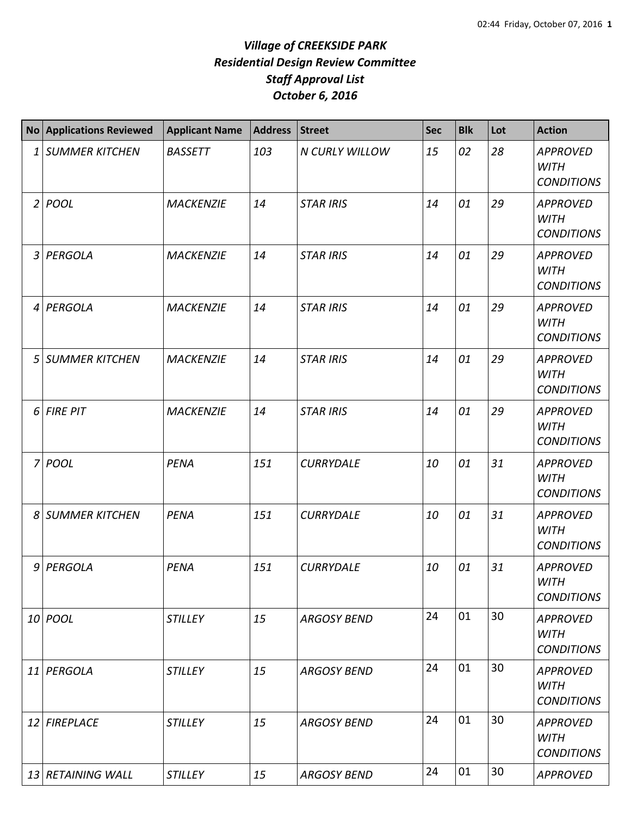|                | No Applications Reviewed | <b>Applicant Name</b> | <b>Address</b> | <b>Street</b>      | <b>Sec</b> | <b>Blk</b> | Lot | <b>Action</b>                                       |
|----------------|--------------------------|-----------------------|----------------|--------------------|------------|------------|-----|-----------------------------------------------------|
| 1              | <b>SUMMER KITCHEN</b>    | <b>BASSETT</b>        | 103            | N CURLY WILLOW     | 15         | 02         | 28  | <b>APPROVED</b><br><b>WITH</b><br><b>CONDITIONS</b> |
|                | 2 POOL                   | <b>MACKENZIE</b>      | 14             | <b>STAR IRIS</b>   | 14         | 01         | 29  | <b>APPROVED</b><br><b>WITH</b><br><b>CONDITIONS</b> |
| $\mathfrak{Z}$ | PERGOLA                  | <b>MACKENZIE</b>      | 14             | <b>STAR IRIS</b>   | 14         | 01         | 29  | <b>APPROVED</b><br><b>WITH</b><br><b>CONDITIONS</b> |
| $\overline{4}$ | PERGOLA                  | <b>MACKENZIE</b>      | 14             | <b>STAR IRIS</b>   | 14         | 01         | 29  | <b>APPROVED</b><br><b>WITH</b><br><b>CONDITIONS</b> |
| 5              | <b>SUMMER KITCHEN</b>    | <b>MACKENZIE</b>      | 14             | <b>STAR IRIS</b>   | 14         | 01         | 29  | <b>APPROVED</b><br><b>WITH</b><br><b>CONDITIONS</b> |
| 6              | <b>FIRE PIT</b>          | <b>MACKENZIE</b>      | 14             | <b>STAR IRIS</b>   | 14         | 01         | 29  | <b>APPROVED</b><br><b>WITH</b><br><b>CONDITIONS</b> |
|                | 7 POOL                   | <b>PENA</b>           | 151            | <b>CURRYDALE</b>   | 10         | 01         | 31  | <b>APPROVED</b><br><b>WITH</b><br><b>CONDITIONS</b> |
| 8              | <b>SUMMER KITCHEN</b>    | PENA                  | 151            | <b>CURRYDALE</b>   | 10         | 01         | 31  | <b>APPROVED</b><br><b>WITH</b><br><b>CONDITIONS</b> |
| 9              | PERGOLA                  | <b>PENA</b>           | 151            | <b>CURRYDALE</b>   | 10         | 01         | 31  | <b>APPROVED</b><br><b>WITH</b><br><b>CONDITIONS</b> |
|                | 10 POOL                  | <b>STILLEY</b>        | 15             | <b>ARGOSY BEND</b> | 24         | 01         | 30  | <b>APPROVED</b><br><b>WITH</b><br><b>CONDITIONS</b> |
| 11             | PERGOLA                  | <b>STILLEY</b>        | 15             | <b>ARGOSY BEND</b> | 24         | 01         | 30  | <b>APPROVED</b><br><b>WITH</b><br><b>CONDITIONS</b> |
| 12             | <b>FIREPLACE</b>         | <b>STILLEY</b>        | 15             | <b>ARGOSY BEND</b> | 24         | 01         | 30  | <b>APPROVED</b><br><b>WITH</b><br><b>CONDITIONS</b> |
|                | 13 RETAINING WALL        | <b>STILLEY</b>        | 15             | <b>ARGOSY BEND</b> | 24         | 01         | 30  | <b>APPROVED</b>                                     |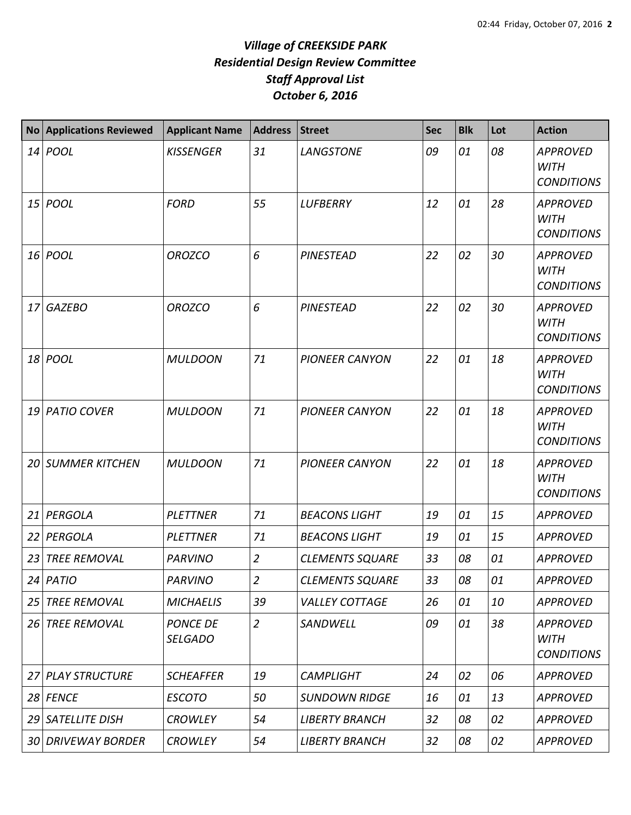| <b>No</b> | <b>Applications Reviewed</b> | <b>Applicant Name</b>             | Address Street |                        | <b>Sec</b> | <b>Blk</b> | Lot | <b>Action</b>                                       |
|-----------|------------------------------|-----------------------------------|----------------|------------------------|------------|------------|-----|-----------------------------------------------------|
|           | $14$ POOL                    | <b>KISSENGER</b>                  | 31             | <b>LANGSTONE</b>       | 09         | 01         | 08  | <b>APPROVED</b><br><b>WITH</b><br><b>CONDITIONS</b> |
|           | $15$ POOL                    | <b>FORD</b>                       | 55             | <b>LUFBERRY</b>        | 12         | 01         | 28  | <b>APPROVED</b><br><b>WITH</b><br><b>CONDITIONS</b> |
|           | 16 <i>POOL</i>               | <b>OROZCO</b>                     | 6              | <b>PINESTEAD</b>       | 22         | 02         | 30  | <b>APPROVED</b><br><b>WITH</b><br><b>CONDITIONS</b> |
| 17        | <b>GAZEBO</b>                | <b>OROZCO</b>                     | 6              | <b>PINESTEAD</b>       | 22         | 02         | 30  | <b>APPROVED</b><br><b>WITH</b><br><b>CONDITIONS</b> |
| 18        | <b>POOL</b>                  | <b>MULDOON</b>                    | 71             | <b>PIONEER CANYON</b>  | 22         | 01         | 18  | <b>APPROVED</b><br><b>WITH</b><br><b>CONDITIONS</b> |
| 19        | <b>PATIO COVER</b>           | <b>MULDOON</b>                    | 71             | <b>PIONEER CANYON</b>  | 22         | 01         | 18  | <b>APPROVED</b><br><b>WITH</b><br><b>CONDITIONS</b> |
|           | <b>20 SUMMER KITCHEN</b>     | <b>MULDOON</b>                    | 71             | <b>PIONEER CANYON</b>  | 22         | 01         | 18  | <b>APPROVED</b><br><b>WITH</b><br><b>CONDITIONS</b> |
| 21        | PERGOLA                      | <b>PLETTNER</b>                   | 71             | <b>BEACONS LIGHT</b>   | 19         | 01         | 15  | <b>APPROVED</b>                                     |
|           | 22 PERGOLA                   | <b>PLETTNER</b>                   | 71             | <b>BEACONS LIGHT</b>   | 19         | 01         | 15  | <b>APPROVED</b>                                     |
| 23        | <b>TREE REMOVAL</b>          | <b>PARVINO</b>                    | $\overline{2}$ | <b>CLEMENTS SQUARE</b> | 33         | 08         | 01  | <b>APPROVED</b>                                     |
|           | $24$ PATIO                   | <b>PARVINO</b>                    | $\overline{2}$ | <b>CLEMENTS SQUARE</b> | 33         | 08         | 01  | <b>APPROVED</b>                                     |
|           | 25 TREE REMOVAL              | <b>MICHAELIS</b>                  | 39             | <b>VALLEY COTTAGE</b>  | 26         | 01         | 10  | <b>APPROVED</b>                                     |
|           | 26 TREE REMOVAL              | <b>PONCE DE</b><br><b>SELGADO</b> | $\overline{2}$ | SANDWELL               | 09         | 01         | 38  | <b>APPROVED</b><br><b>WITH</b><br><b>CONDITIONS</b> |
|           | 27 PLAY STRUCTURE            | <b>SCHEAFFER</b>                  | 19             | <b>CAMPLIGHT</b>       | 24         | 02         | 06  | <b>APPROVED</b>                                     |
|           | $28$ FENCE                   | <b>ESCOTO</b>                     | 50             | <b>SUNDOWN RIDGE</b>   | 16         | 01         | 13  | <b>APPROVED</b>                                     |
|           | 29 SATELLITE DISH            | <b>CROWLEY</b>                    | 54             | <b>LIBERTY BRANCH</b>  | 32         | 08         | 02  | <b>APPROVED</b>                                     |
|           | 30 DRIVEWAY BORDER           | <b>CROWLEY</b>                    | 54             | <b>LIBERTY BRANCH</b>  | 32         | 08         | 02  | <b>APPROVED</b>                                     |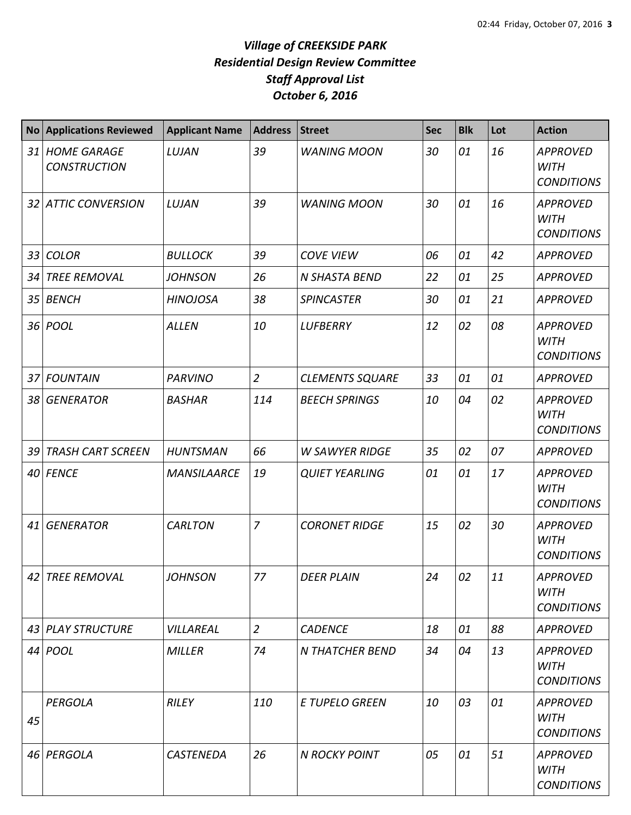| <b>No</b>       | <b>Applications Reviewed</b>              | <b>Applicant Name</b> | <b>Address</b> | <b>Street</b>          | Sec | <b>Blk</b> | Lot | <b>Action</b>                                       |
|-----------------|-------------------------------------------|-----------------------|----------------|------------------------|-----|------------|-----|-----------------------------------------------------|
| 31              | <b>HOME GARAGE</b><br><b>CONSTRUCTION</b> | LUJAN                 | 39             | <b>WANING MOON</b>     | 30  | 01         | 16  | <b>APPROVED</b><br><b>WITH</b><br><b>CONDITIONS</b> |
|                 | 32 ATTIC CONVERSION                       | LUJAN                 | 39             | <b>WANING MOON</b>     | 30  | 01         | 16  | <b>APPROVED</b><br>WITH<br><b>CONDITIONS</b>        |
| 33              | <b>COLOR</b>                              | <b>BULLOCK</b>        | 39             | <b>COVE VIEW</b>       | 06  | 01         | 42  | <b>APPROVED</b>                                     |
| 34              | <b>TREE REMOVAL</b>                       | <b>JOHNSON</b>        | 26             | N SHASTA BEND          | 22  | 01         | 25  | <b>APPROVED</b>                                     |
| 35              | <b>BENCH</b>                              | <b>HINOJOSA</b>       | 38             | <b>SPINCASTER</b>      | 30  | 01         | 21  | <b>APPROVED</b>                                     |
|                 | 36 <i>POOL</i>                            | <b>ALLEN</b>          | 10             | <b>LUFBERRY</b>        | 12  | 02         | 08  | <b>APPROVED</b><br><b>WITH</b><br><b>CONDITIONS</b> |
| 37 <sup>1</sup> | <b>FOUNTAIN</b>                           | <b>PARVINO</b>        | $\overline{2}$ | <b>CLEMENTS SQUARE</b> | 33  | 01         | 01  | <b>APPROVED</b>                                     |
| 38              | <b>GENERATOR</b>                          | <b>BASHAR</b>         | 114            | <b>BEECH SPRINGS</b>   | 10  | 04         | 02  | <b>APPROVED</b><br><b>WITH</b><br><b>CONDITIONS</b> |
| 39              | <b>TRASH CART SCREEN</b>                  | <b>HUNTSMAN</b>       | 66             | <b>W SAWYER RIDGE</b>  | 35  | 02         | 07  | <b>APPROVED</b>                                     |
|                 | 40 FENCE                                  | <b>MANSILAARCE</b>    | 19             | <b>QUIET YEARLING</b>  | 01  | 01         | 17  | <b>APPROVED</b><br><b>WITH</b><br><b>CONDITIONS</b> |
| 41              | <b>GENERATOR</b>                          | <b>CARLTON</b>        | $\overline{7}$ | <b>CORONET RIDGE</b>   | 15  | 02         | 30  | <b>APPROVED</b><br><b>WITH</b><br><b>CONDITIONS</b> |
|                 | 42 TREE REMOVAL                           | <b>JOHNSON</b>        | 77             | <b>DEER PLAIN</b>      | 24  | 02         | 11  | <b>APPROVED</b><br>WITH<br><b>CONDITIONS</b>        |
|                 | 43 PLAY STRUCTURE                         | VILLAREAL             | $\overline{2}$ | <b>CADENCE</b>         | 18  | 01         | 88  | <b>APPROVED</b>                                     |
|                 | 44 <i>POOL</i>                            | <b>MILLER</b>         | 74             | <b>N THATCHER BEND</b> | 34  | 04         | 13  | <b>APPROVED</b><br><b>WITH</b><br><b>CONDITIONS</b> |
| 45              | PERGOLA                                   | <b>RILEY</b>          | 110            | <b>E TUPELO GREEN</b>  | 10  | 03         | 01  | <b>APPROVED</b><br><b>WITH</b><br><b>CONDITIONS</b> |
|                 | 46 PERGOLA                                | <b>CASTENEDA</b>      | 26             | <b>N ROCKY POINT</b>   | 05  | 01         | 51  | <b>APPROVED</b><br>WITH<br><b>CONDITIONS</b>        |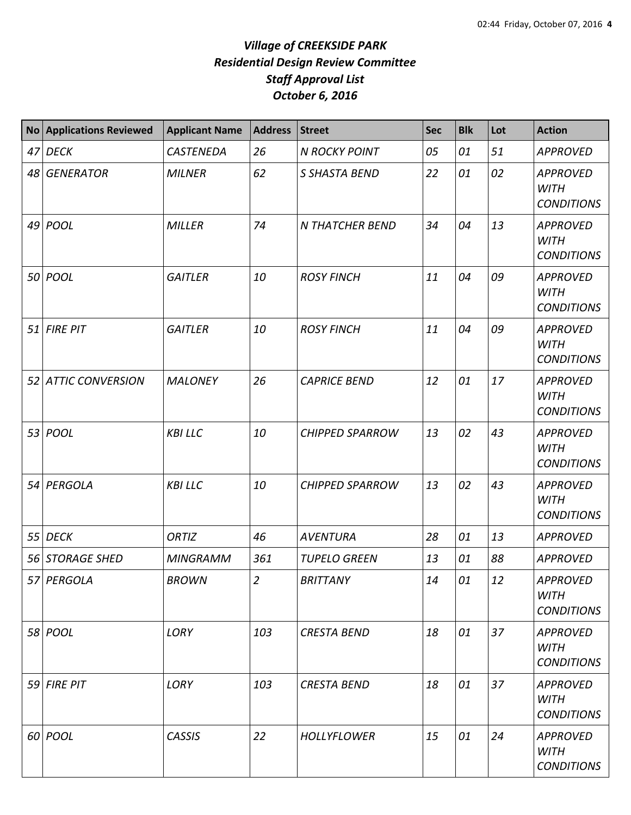| <b>No</b> | <b>Applications Reviewed</b> | <b>Applicant Name</b> | <b>Address</b> | <b>Street</b>          | Sec | <b>Blk</b> | Lot | <b>Action</b>                                       |
|-----------|------------------------------|-----------------------|----------------|------------------------|-----|------------|-----|-----------------------------------------------------|
| 47        | <b>DECK</b>                  | <b>CASTENEDA</b>      | 26             | <b>N ROCKY POINT</b>   | 05  | 01         | 51  | <b>APPROVED</b>                                     |
| 48        | <b>GENERATOR</b>             | <b>MILNER</b>         | 62             | S SHASTA BEND          | 22  | 01         | 02  | <b>APPROVED</b><br><b>WITH</b><br><b>CONDITIONS</b> |
|           | 49 POOL                      | <b>MILLER</b>         | 74             | N THATCHER BEND        | 34  | 04         | 13  | <b>APPROVED</b><br><b>WITH</b><br><b>CONDITIONS</b> |
|           | 50 POOL                      | <b>GAITLER</b>        | 10             | <b>ROSY FINCH</b>      | 11  | 04         | 09  | <b>APPROVED</b><br><b>WITH</b><br><b>CONDITIONS</b> |
| 51        | <b>FIRE PIT</b>              | <b>GAITLER</b>        | 10             | <b>ROSY FINCH</b>      | 11  | 04         | 09  | <b>APPROVED</b><br><b>WITH</b><br><b>CONDITIONS</b> |
| 52        | <b>ATTIC CONVERSION</b>      | <b>MALONEY</b>        | 26             | <b>CAPRICE BEND</b>    | 12  | 01         | 17  | <b>APPROVED</b><br><b>WITH</b><br><b>CONDITIONS</b> |
| 53        | POOL                         | <b>KBILLC</b>         | 10             | <b>CHIPPED SPARROW</b> | 13  | 02         | 43  | <b>APPROVED</b><br><b>WITH</b><br><b>CONDITIONS</b> |
|           | 54 PERGOLA                   | <b>KBILLC</b>         | 10             | <b>CHIPPED SPARROW</b> | 13  | 02         | 43  | <b>APPROVED</b><br><b>WITH</b><br><b>CONDITIONS</b> |
|           | 55 DECK                      | ORTIZ                 | 46             | <b>AVENTURA</b>        | 28  | 01         | 13  | <b>APPROVED</b>                                     |
| 56        | <b>STORAGE SHED</b>          | <b>MINGRAMM</b>       | 361            | <b>TUPELO GREEN</b>    | 13  | 01         | 88  | <b>APPROVED</b>                                     |
|           | 57 PERGOLA                   | <b>BROWN</b>          | $\overline{2}$ | <b>BRITTANY</b>        | 14  | 01         | 12  | <b>APPROVED</b><br><b>WITH</b><br><b>CONDITIONS</b> |
|           | 58 POOL                      | LORY                  | 103            | <b>CRESTA BEND</b>     | 18  | 01         | 37  | <b>APPROVED</b><br><b>WITH</b><br><b>CONDITIONS</b> |
|           | $59$ FIRE PIT                | LORY                  | 103            | <b>CRESTA BEND</b>     | 18  | 01         | 37  | <b>APPROVED</b><br><b>WITH</b><br><b>CONDITIONS</b> |
|           | 60 POOL                      | <b>CASSIS</b>         | 22             | <b>HOLLYFLOWER</b>     | 15  | 01         | 24  | <b>APPROVED</b><br><b>WITH</b><br><b>CONDITIONS</b> |